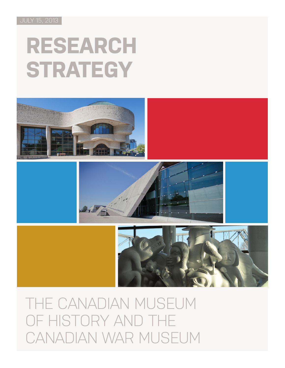JULY 15, 2013

# **RESEARCH STRATEGY**







THE CANADIAN MUSEUM OF HISTORY AND THE CANADIAN WAR MUSEUM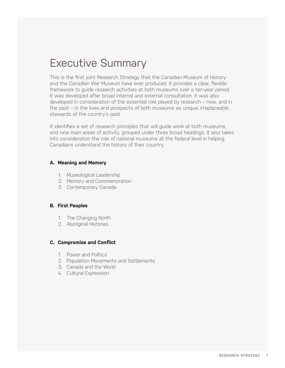## Executive Summary

This is the first joint Research Strategy that the Canadian Museum of History and the Canadian War Museum have ever produced. It provides a clear, flexible framework to guide research activities at both museums over a ten-year period. It was developed after broad internal and external consultation. It was also developed in consideration of the essential role played by research – now, and in the past – in the lives and prospects of both museums as unique, irreplaceable stewards of the country's past.

It identifies a set of research principles that will guide work at both museums, and nine main areas of activity, grouped under three broad headings. It also takes into consideration the role of national museums at the federal level in helping Canadians understand the history of their country.

#### **A. Meaning and Memory**

- 1. Museological Leadership
- 2. Memory and Commemoration
- 3. Contemporary Canada

#### **B. First Peoples**

- 1. The Changing North
- 2. Aboriginal Histories

#### **C. Compromise and Conflict**

- 1. Power and Politics
- 2. Population Movements and Settlements
- 3. Canada and the World
- 4. Cultural Expression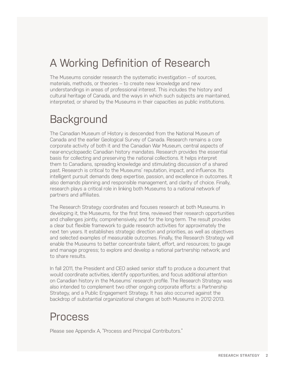## A Working Definition of Research

The Museums consider research the systematic investigation – of sources, materials, methods, or theories – to create new knowledge and new understandings in areas of professional interest. This includes the history and cultural heritage of Canada, and the ways in which such subjects are maintained, interpreted, or shared by the Museums in their capacities as public institutions.

## **Background**

The Canadian Museum of History is descended from the National Museum of Canada and the earlier Geological Survey of Canada. Research remains a core corporate activity of both it and the Canadian War Museum, central aspects of near-encyclopaedic Canadian history mandates. Research provides the essential basis for collecting and preserving the national collections. It helps interpret them to Canadians, spreading knowledge and stimulating discussion of a shared past. Research is critical to the Museums' reputation, impact, and influence. Its intelligent pursuit demands deep expertise, passion, and excellence in outcomes. It also demands planning and responsible management, and clarity of choice. Finally, research plays a critical role in linking both Museums to a national network of partners and affiliates.

The Research Strategy coordinates and focuses research at both Museums. In developing it, the Museums, for the first time, reviewed their research opportunities and challenges jointly, comprehensively, and for the long-term. The result provides a clear but flexible framework to guide research activities for approximately the next ten years. It establishes strategic direction and priorities, as well as objectives and selected examples of measurable outcomes. Finally, the Research Strategy will enable the Museums to better concentrate talent, effort, and resources; to gauge and manage progress; to explore and develop a national partnership network; and to share results.

In fall 2011, the President and CEO asked senior staff to produce a document that would coordinate activities, identify opportunities, and focus additional attention on Canadian history in the Museums' research profile. The Research Strategy was also intended to complement two other ongoing corporate efforts: a Partnership Strategy, and a Public Engagement Strategy. It has also occurred against the backdrop of substantial organizational changes at both Museums in 2012-2013.

## Process

Please see Appendix A, "Process and Principal Contributors."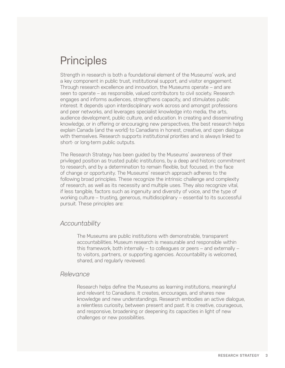## **Principles**

Strength in research is both a foundational element of the Museums' work, and a key component in public trust, institutional support, and visitor engagement. Through research excellence and innovation, the Museums operate – and are seen to operate – as responsible, valued contributors to civil society. Research engages and informs audiences, strengthens capacity, and stimulates public interest. It depends upon interdisciplinary work across and amongst professions and peer networks, and leverages specialist knowledge into media, the arts, audience development, public culture, and education. In creating and disseminating knowledge, or in offering or encouraging new perspectives, the best research helps explain Canada (and the world) to Canadians in honest, creative, and open dialogue with themselves. Research supports institutional priorities and is always linked to short- or long-term public outputs.

The Research Strategy has been guided by the Museums' awareness of their privileged position as trusted public institutions, by a deep and historic commitment to research, and by a determination to remain flexible, but focused, in the face of change or opportunity. The Museums' research approach adheres to the following broad principles. These recognize the intrinsic challenge and complexity of research, as well as its necessity and multiple uses. They also recognize vital, if less tangible, factors such as ingenuity and diversity of voice, and the type of working culture – trusting, generous, multidisciplinary – essential to its successful pursuit. These principles are:

#### *Accountability*

The Museums are public institutions with demonstrable, transparent accountabilities. Museum research is measurable and responsible within this framework, both internally – to colleagues or peers – and externally – to visitors, partners, or supporting agencies. Accountability is welcomed, shared, and regularly reviewed.

#### *Relevance*

Research helps define the Museums as learning institutions, meaningful and relevant to Canadians. It creates, encourages, and shares new knowledge and new understandings. Research embodies an active dialogue, a relentless curiosity, between present and past. It is creative, courageous, and responsive, broadening or deepening its capacities in light of new challenges or new possibilities.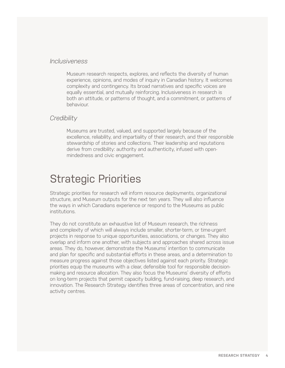#### *Inclusiveness*

Museum research respects, explores, and reflects the diversity of human experience, opinions, and modes of inquiry in Canadian history. It welcomes complexity and contingency. Its broad narratives and specific voices are equally essential, and mutually reinforcing. Inclusiveness in research is both an attitude, or patterns of thought, and a commitment, or patterns of behaviour.

#### *Credibility*

Museums are trusted, valued, and supported largely because of the excellence, reliability, and impartiality of their research, and their responsible stewardship of stories and collections. Their leadership and reputations derive from credibility: authority and authenticity, infused with openmindedness and civic engagement.

## Strategic Priorities

Strategic priorities for research will inform resource deployments, organizational structure, and Museum outputs for the next ten years. They will also influence the ways in which Canadians experience or respond to the Museums as public institutions.

They do not constitute an exhaustive list of Museum research, the richness and complexity of which will always include smaller, shorter-term, or time-urgent projects in response to unique opportunities, associations, or changes. They also overlap and inform one another, with subjects and approaches shared across issue areas. They do, however, demonstrate the Museums' intention to communicate and plan for specific and substantial efforts in these areas, and a determination to measure progress against those objectives listed against each priority. Strategic priorities equip the museums with a clear, defensible tool for responsible decisionmaking and resource allocation. They also focus the Museums' diversity of efforts on long-term projects that permit capacity building, fund-raising, deep research, and innovation. The Research Strategy identifies three areas of concentration, and nine activity centres.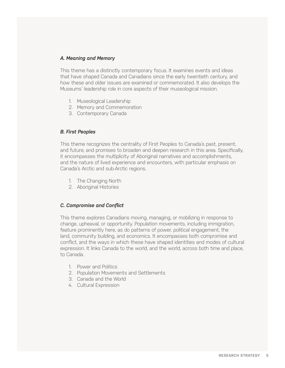#### *A. Meaning and Memory*

This theme has a distinctly contemporary focus. It examines events and ideas that have shaped Canada and Canadians since the early twentieth century, and how these and older issues are examined or commemorated. It also develops the Museums' leadership role in core aspects of their museological mission.

- 1. Museological Leadership
- 2. Memory and Commemoration
- 3. Contemporary Canada

#### *B. First Peoples*

This theme recognizes the centrality of First Peoples to Canada's past, present, and future, and promises to broaden and deepen research in this area. Specifically, it encompasses the multiplicity of Aboriginal narratives and accomplishments, and the nature of lived experience and encounters, with particular emphasis on Canada's Arctic and sub-Arctic regions.

- 1. The Changing North
- 2. Aboriginal Histories

#### *C. Compromise and Conflict*

This theme explores Canadians moving, managing, or mobilizing in response to change, upheaval, or opportunity. Population movements, including immigration, feature prominently here, as do patterns of power, political engagement, the land, community building, and economics. It encompasses both compromise and conflict, and the ways in which these have shaped identities and modes of cultural expression. It links Canada to the world, and the world, across both time and place, to Canada.

- 1. Power and Politics
- 2. Population Movements and Settlements
- 3. Canada and the World
- 4. Cultural Expression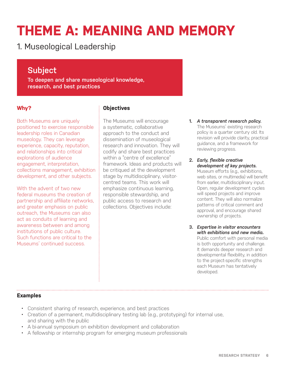## **THEME A: MEANING AND MEMORY**

1. Museological Leadership

## **Subject**

**To deepen and share museological knowledge, research, and best practices**

## **Why?**

Both Museums are uniquely positioned to exercise responsible leadership roles in Canadian museology. They can leverage experience, capacity, reputation, and relationships into critical explorations of audience engagement, interpretation, collections management, exhibition development, and other subjects.

With the advent of two new federal museums the creation of partnership and affiliate networks, and greater emphasis on public outreach, the Museums can also act as conduits of learning and awareness between and among institutions of public culture. Such functions are critical to the Museums' continued success.

## **Objectives**

The Museums will encourage a systematic, collaborative approach to the conduct and dissemination of museological research and innovation. They will codify and share best practices within a "centre of excellence" framework. Ideas and products will be critiqued at the development stage by multidisciplinary, visitorcentred teams. This work will emphasize continuous learning, responsible stewardship, and public access to research and collections. Objectives include:

**1.** *A transparent research policy.*  The Museums' existing research policy is a quarter century old. Its revision will provide clarity, practical guidance, and a framework for reviewing progress.

#### **2.** *Early, flexible creative development of key projects.*

Museum efforts (e.g., exhibitions, web sites, or multimedia) will benefit from earlier, multidisciplinary input. Open, regular development cycles will speed projects and improve content. They will also normalize patterns of critical comment and approval, and encourage shared ownership of projects.

**3.** *Expertise in visitor encounters with exhibitions and new media.*  Public comfort with personal media is both opportunity and challenge. It demands deeper research and developmental flexibility, in addition to the project-specific strengths each Museum has tentatively developed.

- Consistent sharing of research, experience, and best practices
- Creation of a permanent, multidisciplinary testing lab (e.g., prototyping) for internal use, and sharing with the public
- A bi-annual symposium on exhibition development and collaboration
- A fellowship or internship program for emerging museum professionals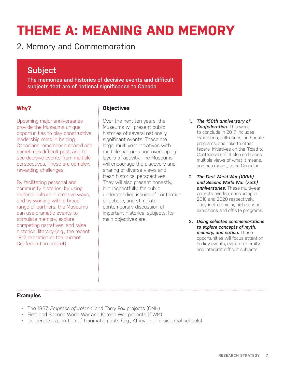## **THEME A: MEANING AND MEMORY**

2. Memory and Commemoration

## **Subject**

**The memories and histories of decisive events and difficult subjects that are of national significance to Canada**

## **Why?**

Upcoming major anniversaries provide the Museums unique opportunities to play constructive, leadership roles in helping Canadians remember a shared and sometimes difficult past, and to see decisive events from multiple perspectives. These are complex, rewarding challenges.

By facilitating personal and community histories, by using material culture in creative ways, and by working with a broad range of partners, the Museums can use dramatic events to stimulate memory, explore competing narratives, and raise historical literacy (e.g., the recent 1812 exhibition or the current Confederation project).

## **Objectives**

Over the next ten years, the Museums will present public histories of several nationally significant events. These are large, multi-year initiatives with multiple partners and overlapping layers of activity. The Museums will encourage the discovery and sharing of diverse views and fresh historical perspectives. They will also present honestly, but respectfully, for public understanding issues of contention or debate, and stimulate contemporary discussion of important historical subjects. Its main objectives are:

- **1.** *The 150th anniversary of Confederation.* This work, to conclude in 2017, includes exhibitions, collections, and public programs, and links to other federal initiatives on the "Road to Confederation". It also embraces multiple views of what it means, and has meant, to be Canadian.
- **2.** *The First World War (100th) and Second World War (75th) anniversaries.* These multi-year projects overlap, concluding in 2018 and 2020 respectively. They include major, high-season exhibitions and off-site programs.
- **3.** *Using selected commemorations to explore concepts of myth, memory, and nation.* These opportunities will focus attention on key events, explore diversity, and interpret difficult subjects.

- The 1867, *Empress of Ireland*, and Terry Fox projects (CMH)
- First and Second World War and Korean War projects (CWM)
- Deliberate exploration of traumatic pasts (e.g., Africville or residential schools)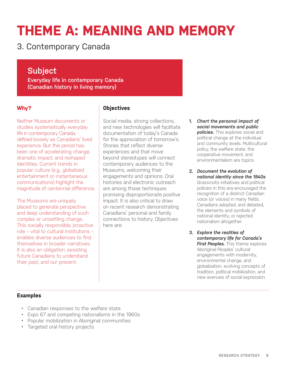## **THEME A: MEANING AND MEMORY**

3. Contemporary Canada

## **Subject**

**Everyday life in contemporary Canada (Canadian history in living memory)** 

### **Why?**

Neither Museum documents or studies systematically everyday life in contemporary Canada, defined loosely as Canadians' lived experience. But the period has been one of accelerating change, dramatic impact, and reshaped identities. Current trends in popular culture (e.g., globalized entertainment or instantaneous communications) highlight the magnitude of centennial difference.

The Museums are uniquely placed to generate perspective and deep understanding of such complex or unsettling change. This socially responsible, proactive role – vital to cultural institutions – enables diverse audiences to find themselves in broader narratives. It is also an obligation: assisting future Canadians to understand their past, and our present.

## **Objectives**

Social media, strong collections, and new technologies will facilitate documentation of today's Canada for the appreciation of tomorrow's. Stories that reflect diverse experiences and that move beyond stereotypes will connect contemporary audiences to the Museums, welcoming their engagements and opinions. Oral histories and electronic outreach are among those techniques promising disproportionate positive impact. It is also critical to draw on recent research demonstrating Canadians' personal and family connections to history. Objectives here are:

- **1.** *Chart the personal impact of social movements and public policies.* This explores social and political change at the individual and community levels. Multicultural policy, the welfare state, the cooperative movement, and environmentalism are topics.
- **2.** *Document the evolution of national identity since the 1940s*. Grassroots initiatives and political policies in this era encouraged the recognition of a distinct Canadian voice (or voices) in many fields. Canadians adopted, and debated, the elements and symbols of national identity, or rejected nationalism altogether.
- **3.** *Explore the realities of contemporary life for Canada's First Peoples.* This theme explores Aboriginal Peoples' cultural engagements with modernity, environmental change, and globalization, evolving concepts of tradition, political mobilization, and new avenues of social expression.

- Canadian responses to the welfare state
- Expo 67 and competing nationalisms in the 1960s
- Popular mobilization in Aboriginal communities
- Targeted oral history projects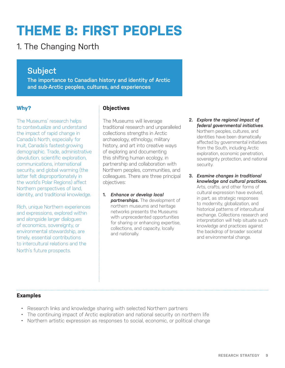## **THEME B: FIRST PEOPLES**

## 1. The Changing North

## **Subject**

**The importance to Canadian history and identity of Arctic and sub-Arctic peoples, cultures, and experiences** 

## **Why?**

The Museums' research helps to contextualize and understand the impact of rapid change in Canada's North, especially for Inuit, Canada's fastest-growing demographic. Trade, administrative devolution, scientific exploration, communications, international security, and global warming (the latter felt disproportionately in the world's Polar Regions) affect Northern perspectives of land, identity, and traditional knowledge.

Rich, unique Northern experiences and expressions, explored within and alongside larger dialogues of economics, sovereignty, or environmental stewardship, are timely, essential contributions to intercultural relations and the North's future prospects.

## **Objectives**

The Museums will leverage traditional research and unparalleled collections strengths in Arctic archaeology, ethnology, military history, and art into creative ways of exploring and documenting this shifting human ecology, in partnership and collaboration with Northern peoples, communities, and colleagues. There are three principal objectives:

- **1.** *Enhance or develop local partnerships.* The development of northern museums and heritage networks presents the Museums with unprecedented opportunities for sharing or enhancing expertise, collections, and capacity, locally and nationally.
- **2.** *Explore the regional impact of federal governmental initiatives*. Northern peoples, cultures, and identities have been dramatically affected by governmental initiatives from the South, including Arctic exploration, economic penetration, sovereignty protection, and national security.
- **3.** *Examine changes in traditional knowledge and cultural practices.*  Arts, crafts, and other forms of cultural expression have evolved, in part, as strategic responses to modernity, globalization, and historical patterns of intercultural exchange. Collections research and interpretation will help situate such knowledge and practices against the backdrop of broader societal and environmental change.

- Research links and knowledge sharing with selected Northern partners
- The continuing impact of Arctic exploration and national security on northern life
- Northern artistic expression as responses to social, economic, or political change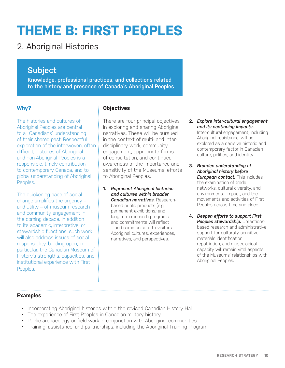## **THEME B: FIRST PEOPLES**

## 2. Aboriginal Histories

## **Subject**

**Knowledge, professional practices, and collections related to the history and presence of Canada's Aboriginal Peoples**

## **Why?**

The histories and cultures of Aboriginal Peoples are central to all Canadians' understanding of their shared past. Respectful exploration of the interwoven, often difficult, histories of Aboriginal and non-Aboriginal Peoples is a responsible, timely contribution to contemporary Canada, and to global understanding of Aboriginal Peoples.

The quickening pace of social change amplifies the urgency – and utility – of museum research and community engagement in the coming decade. In addition to its academic, interpretive, or stewardship functions, such work will also address issues of social responsibility, building upon, in particular, the Canadian Museum of History's strengths, capacities, and institutional experience with First Peoples.

## **Objectives**

There are four principal objectives in exploring and sharing Aboriginal narratives. These will be pursued in the context of multi- and interdisciplinary work, community engagement, appropriate forms of consultation, and continued awareness of the importance and sensitivity of the Museums' efforts to Aboriginal Peoples.

- **1.** *Represent Aboriginal histories and cultures within broader Canadian narratives.* Researchbased public products (e.g., permanent exhibitions) and long-term research programs and commitments will reflect – and communicate to visitors – Aboriginal cultures, experiences, narratives, and perspectives.
- **2.** *Explore inter-cultural engagement and its continuing impacts.* Inter-cultural engagement, including Aboriginal resistance, will be explored as a decisive historic and contemporary factor in Canadian culture, politics, and identity.
- **3.** *Broaden understanding of Aboriginal history before European contact.* This includes the examination of trade networks, cultural diversity, and environmental impact, and the movements and activities of First Peoples across time and place.
- **4.** *Deepen efforts to support First Peoples stewardship. Collections*based research and administrative support for culturally sensitive materials identification, repatriation, and museological capacity will remain vital aspects of the Museums' relationships with Aboriginal Peoples.

- Incorporating Aboriginal histories within the revised Canadian History Hall
- The experience of First Peoples in Canadian military history
- Public archaeology or field work in conjunction with Aboriginal communities
- Training, assistance, and partnerships, including the Aboriginal Training Program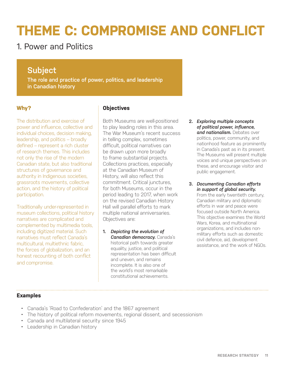## 1. Power and Politics

## **Subject**

**The role and practice of power, politics, and leadership in Canadian history** 

## **Why?**

The distribution and exercise of power and influence, collective and individual choices, decision making, leadership, and politics – broadly defined – represent a rich cluster of research themes. This includes not only the rise of the modern Canadian state, but also traditional structures of governance and authority in Indigenous societies, grassroots movements, collective action, and the history of political participation.

Traditionally under-represented in museum collections, political history narratives are complicated and complemented by multimedia tools, including digitized material. Such narratives must reflect Canada's multicultural, multiethnic fabric, the forces of globalization, and an honest recounting of both conflict and compromise.

## **Objectives**

Both Museums are well-positioned to play leading roles in this area. The War Museum's recent success in telling complex, sometimes difficult, political narratives can be drawn upon more broadly to frame substantial projects. Collections practices, especially at the Canadian Museum of History, will also reflect this commitment. Critical junctures, for both Museums, occur in the period leading to 2017, when work on the revised Canadian History Hall will parallel efforts to mark multiple national anniversaries. Objectives are:

**1.** *Depicting the evolution of Canadian democracy. Canada's* historical path towards greater equality, justice, and political representation has been difficult and uneven, and remains incomplete. It is also one of the world's most remarkable constitutional achievements.

- **2.** *Exploring multiple concepts of political power, influence, and nationalism.* Debates over politics, power, community, and nationhood feature as prominently in Canada's past as in its present. The Museums will present multiple voices and unique perspectives on these, and encourage visitor and public engagement.
- **3.** *Documenting Canadian efforts in support of global security.* From the early twentieth century, Canadian military and diplomatic efforts in war and peace were focused outside North America. This objective examines the World Wars, Korea, and multinational organizations, and includes nonmilitary efforts such as domestic civil defence, aid, development assistance, and the work of NGOs.

- Canada's 'Road to Confederation' and the 1867 agreement
- The history of political reform movements, regional dissent, and secessionism
- Canada and multilateral security since 1945
- Leadership in Canadian history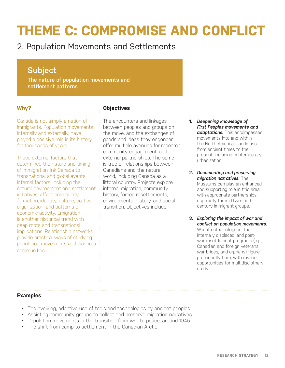## 2. Population Movements and Settlements

## **Subject**

**The nature of population movements and settlement patterns**

### **Why?**

Canada is not simply a nation of immigrants. Population movements, internally and externally, have played a decisive role in its history for thousands of years.

Those external factors that determined the nature and timing of immigration link Canada to transnational and global events. Internal factors, including the natural environment and settlement initiatives, affect community formation, identity, culture, political organization, and patterns of economic activity. Emigration is another historical trend with deep roots and transnational implications. Relationship networks provide practical ways of studying population movements and diaspora communities.

## **Objectives**

The encounters and linkages between peoples and groups on the move, and the exchanges of goods and ideas they engender, offer multiple avenues for research, community engagement, and external partnerships. The same is true of relationships between Canadians and the natural world, including Canada as a littoral country. Projects explore internal migration, community history, forced resettlements, environmental history, and social transition. Objectives include:

- **1.** *Deepening knowledge of First Peoples movements and adaptations.* This encompasses movements into and within the North American landmass, from ancient times to the present, including contemporary urbanization.
- **2.** *Documenting and preserving migration narratives.* The Museums can play an enhanced and supporting role in this area, with appropriate partnerships. especially for mid-twentieth century immigrant groups.
- **3.** *Exploring the impact of war and conflict on population movements.*  War-affected refugees, the internally displaced, and postwar resettlement programs (e.g., Canadian and foreign veterans, war brides, and orphans) figure prominently here, with myriad opportunities for multidisciplinary study.

- The evolving, adaptive use of tools and technologies by ancient peoples
- Assisting community groups to collect and preserve migration narratives
- Population movements in the transition from war to peace, around 1945
- The shift from camp to settlement in the Canadian Arctic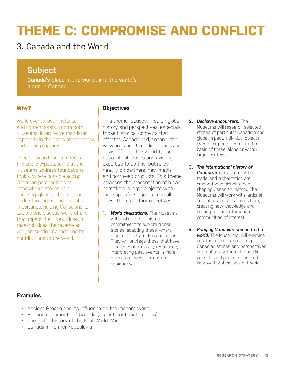3. Canada and the World

## **Subject**

**Canada's place in the world, and the world's place in Canada** 

## **Why?**

World events, both historical and contemporary, inform both Museums' interpretive mandates, especially in the areas of exhibitions and public programs.

Recent consultations reiterated the public expectation that the Museums address foundational topics, where possible adding Canadian perspectives to international stories. In a shrinking, globalized world, such understanding has additional importance, helping Canadians to explore and discuss world affairs that impact their lives. Museum research does the reverse as well, presenting Canada and its contributions to the world.

## **Objectives**

This theme focuses, first, on global history and perspectives, especially those historical contexts that affected Canada and, second, the ways in which Canadian actions or ideas affected the world. It uses national collections and existing expertise to do this, but relies heavily on partners, new media, and borrowed products. This theme balances the presentation of broad narratives in large projects with more specific subjects in smaller ones. There are four objectives:

**1.** *World civilizations.* The Museums will continue their historic commitment to explore global stories, adapting these, where required, for Canadian audiences. They will privilege those that have greater contemporary resonance, interpreting past events in more meaningful ways for current audiences.

- **2.** *Decisive encounters.* The Museums will research selected stories of particular Canadian and global impact. Individual objects, events, or people can form the basis of these, alone or within larger contexts.
- **3.** *The international history of Canada.* Imperial competition, trade, and globalization are among those global forces shaping Canadian history. The Museums will work with national and international partners here, creating new knowledge and helping to build international communities of interest.
- **4.** *Bringing Canadian stories to the world.* The Museums' will exercise greater influence in sharing Canadian stories and perspectives internationally, through specific projects and partnerships, and improved professional networks.

- Ancient Greece and its influence on the modern world
- Historic documents of Canada (e.g., international treaties)
- The global history of the First World War
- Canada in Former Yugoslavia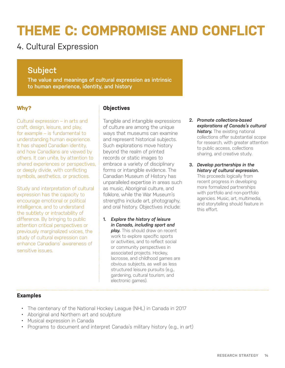## 4. Cultural Expression

## **Subject**

**The value and meanings of cultural expression as intrinsic to human experience, identity, and history**

## **Why?**

Cultural expression – in arts and craft, design, leisure, and play, for example – is fundamental to understanding human experience. It has shaped Canadian identity, and how Canadians are viewed by others. It can unite, by attention to shared experiences or perspectives, or deeply divide, with conflicting symbols, aesthetics, or practices.

Study and interpretation of cultural expression has the capacity to encourage emotional or political intelligence, and to understand the subtlety or intractability of difference. By bringing to public attention critical perspectives or previously marginalized voices, the study of cultural expression can enhance Canadians' awareness of sensitive issues.

## **Objectives**

Tangible and intangible expressions of culture are among the unique ways that museums can examine and represent historical subjects. Such explorations move history beyond the realm of printed records or static images to embrace a variety of disciplinary forms or intangible evidence. The Canadian Museum of History has unparalleled expertise in areas such as music, Aboriginal culture, and folklore, while the War Museum's strengths include art, photography, and oral history. Objectives include:

**1.** *Explore the history of leisure in Canada, including sport and*  **play.** This should draw on recent work to explore specific sports or activities, and to reflect social or community perspectives in associated projects. Hockey, lacrosse, and childhood games are obvious subjects, as well as less structured leisure pursuits (e.g., gardening, cultural tourism, and electronic games).

- **2.** *Promote collections-based explorations of Canada's cultural history.* The existing national collections offer substantial scope for research, with greater attention to public access, collections sharing, and creative study.
- **3.** *Develop partnerships in the history of cultural expression.*  This proceeds logically from recent progress in developing more formalized partnerships with portfolio and non-portfolio agencies. Music, art, multimedia, and storytelling should feature in this effort.

- The centenary of the National Hockey League (NHL) in Canada in 2017
- Aboriginal and Northern art and sculpture
- Musical expression in Canada
- Programs to document and interpret Canada's military history (e.g., in art)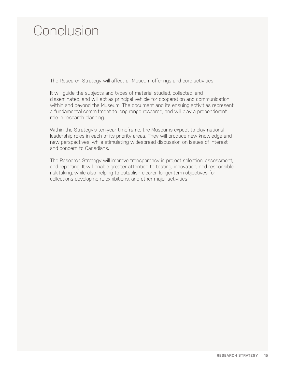## Conclusion

The Research Strategy will affect all Museum offerings and core activities.

It will guide the subjects and types of material studied, collected, and disseminated, and will act as principal vehicle for cooperation and communication, within and beyond the Museum. The document and its ensuing activities represent a fundamental commitment to long-range research, and will play a preponderant role in research planning.

Within the Strategy's ten-year timeframe, the Museums expect to play national leadership roles in each of its priority areas. They will produce new knowledge and new perspectives, while stimulating widespread discussion on issues of interest and concern to Canadians.

The Research Strategy will improve transparency in project selection, assessment, and reporting. It will enable greater attention to testing, innovation, and responsible risk-taking, while also helping to establish clearer, longer-term objectives for collections development, exhibitions, and other major activities.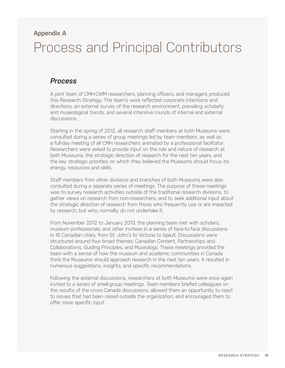## **Appendix A**

## Process and Principal Contributors

## *Process*

A joint team of CMH-CWM researchers, planning officers, and managers produced this Research Strategy. The team's work reflected corporate intentions and directions, an external survey of the research environment, prevailing scholarly and museological trends, and several intensive rounds of internal and external discussions.

Starting in the spring of 2012, all research staff members at both Museums were consulted during a series of group meetings led by team members, as well as a full-day meeting of all CMH researchers animated by a professional facilitator. Researchers were asked to provide input on the role and nature of research at both Museums, the strategic direction of research for the next ten years, and the key strategic priorities on which they believed the Museums should focus its energy, resources and skills.

Staff members from other divisions and branches of both Museums were also consulted during a separate series of meetings. The purpose of these meetings was to survey research activities outside of the traditional research divisions, to gather views on research from non-researchers, and to seek additional input about the strategic direction of research from those who frequently use or are impacted by research, but who, normally, do not undertake it.

From November 2012 to January 2013, the planning team met with scholars, museum professionals, and other invitees in a series of face-to-face discussions in 16 Canadian cities, from St. John's to Victoria to Iqaluit. Discussions were structured around four broad themes: Canadian Content, Partnerships and Collaborations, Guiding Principles, and Museology. These meetings provided the team with a sense of how the museum and academic communities in Canada think the Museums should approach research in the next ten years. It resulted in numerous suggestions, insights, and specific recommendations.

Following the external discussions, researchers at both Museums were once again invited to a series of small-group meetings. Team members briefed colleagues on the results of the cross-Canada discussions, allowed them an opportunity to react to issues that had been raised outside the organization, and encouraged them to offer more specific input.